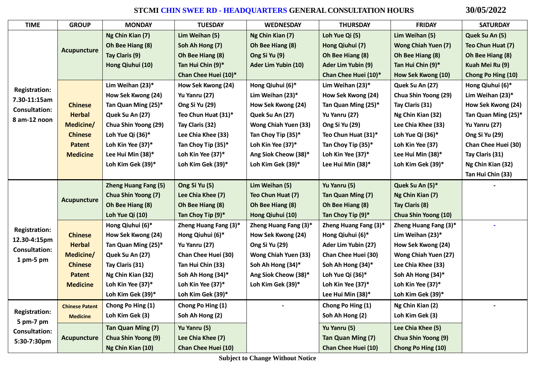# **STCMI CHIN SWEE RD - HEADQUARTERS GENERALCONSULTATION HOURS 30/05/2022**

| <b>TIME</b>                          | <b>GROUP</b>          | <b>MONDAY</b>               | <b>TUESDAY</b>             | <b>WEDNESDAY</b>            | <b>THURSDAY</b>            | <b>FRIDAY</b>               | <b>SATURDAY</b>            |
|--------------------------------------|-----------------------|-----------------------------|----------------------------|-----------------------------|----------------------------|-----------------------------|----------------------------|
|                                      |                       | Ng Chin Kian (7)            | Lim Weihan (5)             | Ng Chin Kian (7)            | Loh Yue Qi (5)             | Lim Weihan (5)              | Quek Su An (5)             |
|                                      |                       | Oh Bee Hiang (8)            | Soh Ah Hong (7)            | Oh Bee Hiang (8)            | Hong Qiuhui (7)            | <b>Wong Chiah Yuen (7)</b>  | Teo Chun Huat (7)          |
|                                      | <b>Acupuncture</b>    | Tay Claris (9)              | Oh Bee Hiang (8)           | Ong Si Yu (9)               | Oh Bee Hiang (8)           | Oh Bee Hiang (8)            | Oh Bee Hiang (8)           |
|                                      |                       | Hong Qiuhui (10)            | Tan Hui Chin (9)*          | Ader Lim Yubin (10)         | Ader Lim Yubin (9)         | Tan Hui Chin (9)*           | Kuah Mei Ru (9)            |
|                                      |                       |                             | Chan Chee Huei (10)*       |                             | Chan Chee Huei (10)*       | How Sek Kwong (10)          | Chong Po Hing (10)         |
|                                      |                       | Lim Weihan (23)*            | How Sek Kwong (24)         | Hong Qiuhui (6)*            | Lim Weihan (23)*           | Quek Su An (27)             | Hong Qiuhui (6)*           |
| <b>Registration:</b><br>7.30-11:15am |                       | How Sek Kwong (24)          | Yu Yanru (27)              | Lim Weihan (23)*            | How Sek Kwong (24)         | Chua Shin Yoong (29)        | Lim Weihan (23)*           |
| <b>Consultation:</b>                 | <b>Chinese</b>        | Tan Quan Ming (25)*         | Ong Si Yu (29)             | How Sek Kwong (24)          | Tan Quan Ming (25)*        | Tay Claris (31)             | How Sek Kwong (24)         |
| 8 am-12 noon                         | <b>Herbal</b>         | Quek Su An (27)             | Teo Chun Huat (31)*        | Quek Su An (27)             | Yu Yanru (27)              | Ng Chin Kian (32)           | Tan Quan Ming (25)*        |
|                                      | Medicine/             | Chua Shin Yoong (29)        | Tay Claris (32)            | Wong Chiah Yuen (33)        | Ong Si Yu (29)             | Lee Chia Khee (33)          | Yu Yanru (27)              |
|                                      | <b>Chinese</b>        | Loh Yue Qi (36)*            | Lee Chia Khee (33)         | Tan Choy Tip (35)*          | Teo Chun Huat (31)*        | Loh Yue Qi (36)*            | Ong Si Yu (29)             |
|                                      | <b>Patent</b>         | Loh Kin Yee (37)*           | Tan Choy Tip (35)*         | Loh Kin Yee (37)*           | Tan Choy Tip (35)*         | Loh Kin Yee (37)            | <b>Chan Chee Huei (30)</b> |
|                                      | <b>Medicine</b>       | Lee Hui Min (38)*           | Loh Kin Yee (37)*          | Ang Siok Cheow (38)*        | Loh Kin Yee (37)*          | Lee Hui Min (38)*           | Tay Claris (31)            |
|                                      |                       | Loh Kim Gek (39)*           | Loh Kim Gek (39)*          | Loh Kim Gek (39)*           | Lee Hui Min (38)*          | Loh Kim Gek (39)*           | Ng Chin Kian (32)          |
|                                      |                       |                             |                            |                             |                            |                             | Tan Hui Chin (33)          |
|                                      |                       | <b>Zheng Huang Fang (5)</b> | Ong Si Yu (5)              | Lim Weihan (5)              | Yu Yanru (5)               | Quek Su An (5)*             |                            |
|                                      | <b>Acupuncture</b>    | Chua Shin Yoong (7)         | Lee Chia Khee (7)          | Teo Chun Huat (7)           | Tan Quan Ming (7)          | Ng Chin Kian (7)            |                            |
|                                      |                       | Oh Bee Hiang (8)            | Oh Bee Hiang (8)           | Oh Bee Hiang (8)            | Oh Bee Hiang (8)           | Tay Claris (8)              |                            |
|                                      |                       | Loh Yue Qi (10)             | Tan Choy Tip (9)*          | Hong Qiuhui (10)            | Tan Choy Tip (9)*          | Chua Shin Yoong (10)        |                            |
| <b>Registration:</b>                 |                       | Hong Qiuhui (6)*            | Zheng Huang Fang (3)*      | Zheng Huang Fang (3)*       | Zheng Huang Fang (3)*      | Zheng Huang Fang (3)*       |                            |
| 12.30-4:15pm                         | <b>Chinese</b>        | How Sek Kwong (24)          | Hong Qiuhui (6)*           | How Sek Kwong (24)          | Hong Qiuhui (6)*           | Lim Weihan (23)*            |                            |
| <b>Consultation:</b>                 | <b>Herbal</b>         | Tan Quan Ming (25)*         | Yu Yanru (27)              | Ong Si Yu (29)              | Ader Lim Yubin (27)        | How Sek Kwong (24)          |                            |
| 1 pm-5 pm                            | Medicine/             | Quek Su An (27)             | Chan Chee Huei (30)        | <b>Wong Chiah Yuen (33)</b> | Chan Chee Huei (30)        | <b>Wong Chiah Yuen (27)</b> |                            |
|                                      | <b>Chinese</b>        | Tay Claris (31)             | Tan Hui Chin (33)          | Soh Ah Hong (34)*           | Soh Ah Hong (34)*          | Lee Chia Khee (33)          |                            |
|                                      | <b>Patent</b>         | Ng Chin Kian (32)           | Soh Ah Hong (34)*          | Ang Siok Cheow (38)*        | Loh Yue Qi (36)*           | Soh Ah Hong (34)*           |                            |
|                                      | <b>Medicine</b>       | Loh Kin Yee (37)*           | Loh Kin Yee (37)*          | Loh Kim Gek (39)*           | Loh Kin Yee (37)*          | Loh Kin Yee (37)*           |                            |
|                                      |                       | Loh Kim Gek (39)*           | Loh Kim Gek (39)*          |                             | Lee Hui Min (38)*          | Loh Kim Gek (39)*           |                            |
|                                      | <b>Chinese Patent</b> | Chong Po Hing (1)           | Chong Po Hing (1)          |                             | Chong Po Hing (1)          | Ng Chin Kian (2)            |                            |
| <b>Registration:</b>                 | <b>Medicine</b>       | Loh Kim Gek (3)             | Soh Ah Hong (2)            |                             | Soh Ah Hong (2)            | Loh Kim Gek (3)             |                            |
| 5 pm-7 pm<br><b>Consultation:</b>    |                       | Tan Quan Ming (7)           | Yu Yanru (5)               |                             | Yu Yanru (5)               | Lee Chia Khee (5)           |                            |
| 5:30-7:30pm                          | <b>Acupuncture</b>    | <b>Chua Shin Yoong (9)</b>  | Lee Chia Khee (7)          |                             | Tan Quan Ming (7)          | Chua Shin Yoong (9)         |                            |
|                                      |                       | Ng Chin Kian (10)           | <b>Chan Chee Huei (10)</b> |                             | <b>Chan Chee Huei (10)</b> | Chong Po Hing (10)          |                            |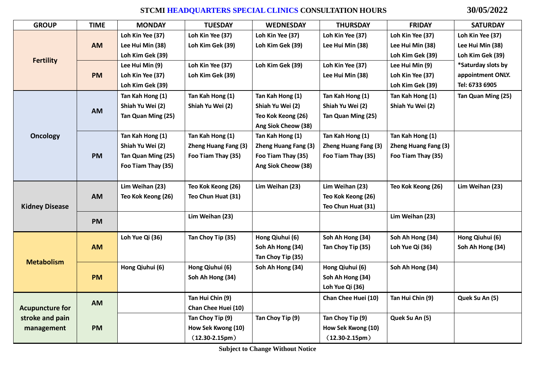## **STCMI HEADQUARTERS SPECIAL CLINICS CONSULTATION HOURS 30/05/2022**

| <b>GROUP</b>           | <b>TIME</b> | <b>MONDAY</b>      | <b>TUESDAY</b>              | <b>WEDNESDAY</b>     | <b>THURSDAY</b>             | <b>FRIDAY</b>        | <b>SATURDAY</b>    |
|------------------------|-------------|--------------------|-----------------------------|----------------------|-----------------------------|----------------------|--------------------|
|                        | <b>AM</b>   | Loh Kin Yee (37)   | Loh Kin Yee (37)            | Loh Kin Yee (37)     | Loh Kin Yee (37)            | Loh Kin Yee (37)     | Loh Kin Yee (37)   |
|                        |             | Lee Hui Min (38)   | Loh Kim Gek (39)            | Loh Kim Gek (39)     | Lee Hui Min (38)            | Lee Hui Min (38)     | Lee Hui Min (38)   |
|                        |             | Loh Kim Gek (39)   |                             |                      |                             | Loh Kim Gek (39)     | Loh Kim Gek (39)   |
| <b>Fertility</b>       |             | Lee Hui Min (9)    | Loh Kin Yee (37)            | Loh Kim Gek (39)     | Loh Kin Yee (37)            | Lee Hui Min (9)      | *Saturday slots by |
|                        | <b>PM</b>   | Loh Kin Yee (37)   | Loh Kim Gek (39)            |                      | Lee Hui Min (38)            | Loh Kin Yee (37)     | appointment ONLY.  |
|                        |             | Loh Kim Gek (39)   |                             |                      |                             | Loh Kim Gek (39)     | Tel: 6733 6905     |
|                        |             | Tan Kah Hong (1)   | Tan Kah Hong (1)            | Tan Kah Hong (1)     | Tan Kah Hong (1)            | Tan Kah Hong (1)     | Tan Quan Ming (25) |
|                        | AM          | Shiah Yu Wei (2)   | Shiah Yu Wei (2)            | Shiah Yu Wei (2)     | Shiah Yu Wei (2)            | Shiah Yu Wei (2)     |                    |
|                        |             | Tan Quan Ming (25) |                             | Teo Kok Keong (26)   | Tan Quan Ming (25)          |                      |                    |
|                        |             |                    |                             | Ang Siok Cheow (38)  |                             |                      |                    |
| <b>Oncology</b>        | <b>PM</b>   | Tan Kah Hong (1)   | Tan Kah Hong (1)            | Tan Kah Hong (1)     | Tan Kah Hong (1)            | Tan Kah Hong (1)     |                    |
|                        |             | Shiah Yu Wei (2)   | <b>Zheng Huang Fang (3)</b> | Zheng Huang Fang (3) | <b>Zheng Huang Fang (3)</b> | Zheng Huang Fang (3) |                    |
|                        |             | Tan Quan Ming (25) | Foo Tiam Thay (35)          | Foo Tiam Thay (35)   | Foo Tiam Thay (35)          | Foo Tiam Thay (35)   |                    |
|                        |             | Foo Tiam Thay (35) |                             | Ang Siok Cheow (38)  |                             |                      |                    |
|                        |             |                    |                             |                      |                             |                      |                    |
|                        | <b>AM</b>   | Lim Weihan (23)    | Teo Kok Keong (26)          | Lim Weihan (23)      | Lim Weihan (23)             | Teo Kok Keong (26)   | Lim Weihan (23)    |
|                        |             | Teo Kok Keong (26) | Teo Chun Huat (31)          |                      | Teo Kok Keong (26)          |                      |                    |
| <b>Kidney Disease</b>  |             |                    |                             |                      | Teo Chun Huat (31)          |                      |                    |
|                        | <b>PM</b>   |                    | Lim Weihan (23)             |                      |                             | Lim Weihan (23)      |                    |
|                        |             |                    |                             |                      |                             |                      |                    |
|                        | <b>AM</b>   | Loh Yue Qi (36)    | Tan Choy Tip (35)           | Hong Qiuhui (6)      | Soh Ah Hong (34)            | Soh Ah Hong (34)     | Hong Qiuhui (6)    |
|                        |             |                    |                             | Soh Ah Hong (34)     | Tan Choy Tip (35)           | Loh Yue Qi (36)      | Soh Ah Hong (34)   |
| <b>Metabolism</b>      |             |                    |                             | Tan Choy Tip (35)    |                             |                      |                    |
|                        |             | Hong Qiuhui (6)    | Hong Qiuhui (6)             | Soh Ah Hong (34)     | Hong Qiuhui (6)             | Soh Ah Hong (34)     |                    |
|                        | <b>PM</b>   |                    | Soh Ah Hong (34)            |                      | Soh Ah Hong (34)            |                      |                    |
|                        |             |                    |                             |                      | Loh Yue Qi (36)             |                      |                    |
|                        |             |                    | Tan Hui Chin (9)            |                      | Chan Chee Huei (10)         | Tan Hui Chin (9)     | Quek Su An (5)     |
| <b>Acupuncture for</b> | <b>AM</b>   |                    | Chan Chee Huei (10)         |                      |                             |                      |                    |
| stroke and pain        |             |                    | Tan Choy Tip (9)            | Tan Choy Tip (9)     | Tan Choy Tip (9)            | Quek Su An (5)       |                    |
| management             | <b>PM</b>   |                    | How Sek Kwong (10)          |                      | How Sek Kwong (10)          |                      |                    |
|                        |             |                    | $(12.30-2.15pm)$            |                      | $(12.30-2.15pm)$            |                      |                    |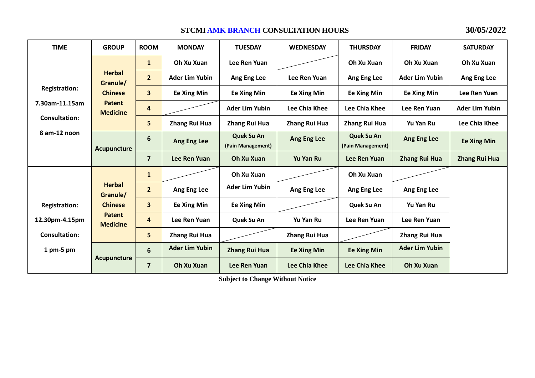### **STCMI AMK BRANCH CONSULTATION HOURS 30/05/2022**

| <b>TIME</b>          | <b>GROUP</b>                                                                                   | <b>ROOM</b>    | <b>MONDAY</b>         | <b>TUESDAY</b>                  | <b>WEDNESDAY</b>     | <b>THURSDAY</b>                 | <b>FRIDAY</b>         | <b>SATURDAY</b>       |
|----------------------|------------------------------------------------------------------------------------------------|----------------|-----------------------|---------------------------------|----------------------|---------------------------------|-----------------------|-----------------------|
|                      |                                                                                                | $\mathbf{1}$   | Oh Xu Xuan            | Lee Ren Yuan                    |                      | Oh Xu Xuan                      | Oh Xu Xuan            | Oh Xu Xuan            |
|                      | <b>Herbal</b><br>Granule/                                                                      | $\overline{2}$ | <b>Ader Lim Yubin</b> | Ang Eng Lee                     | Lee Ren Yuan         | Ang Eng Lee                     | <b>Ader Lim Yubin</b> | Ang Eng Lee           |
| <b>Registration:</b> | <b>Chinese</b>                                                                                 | 3              | <b>Ee Xing Min</b>    | <b>Ee Xing Min</b>              | <b>Ee Xing Min</b>   | <b>Ee Xing Min</b>              | <b>Ee Xing Min</b>    | Lee Ren Yuan          |
| 7.30am-11.15am       | <b>Patent</b><br><b>Medicine</b>                                                               | $\overline{4}$ |                       | <b>Ader Lim Yubin</b>           | Lee Chia Khee        | Lee Chia Khee                   | Lee Ren Yuan          | <b>Ader Lim Yubin</b> |
| <b>Consultation:</b> |                                                                                                | 5              | Zhang Rui Hua         | <b>Zhang Rui Hua</b>            | <b>Zhang Rui Hua</b> | Zhang Rui Hua                   | Yu Yan Ru             | Lee Chia Khee         |
| 8 am-12 noon         | <b>Acupuncture</b>                                                                             | 6              | Ang Eng Lee           | Quek Su An<br>(Pain Management) | Ang Eng Lee          | Quek Su An<br>(Pain Management) | Ang Eng Lee           | <b>Ee Xing Min</b>    |
|                      |                                                                                                | $\overline{7}$ | Lee Ren Yuan          | Oh Xu Xuan                      | <b>Yu Yan Ru</b>     | Lee Ren Yuan                    | <b>Zhang Rui Hua</b>  | <b>Zhang Rui Hua</b>  |
|                      | <b>Herbal</b><br>Granule/<br><b>Chinese</b><br><b>Patent</b><br><b>Medicine</b><br>Acupuncture | $\mathbf{1}$   |                       | Oh Xu Xuan                      |                      | Oh Xu Xuan                      |                       |                       |
|                      |                                                                                                | 2 <sup>1</sup> | Ang Eng Lee           | <b>Ader Lim Yubin</b>           | Ang Eng Lee          | Ang Eng Lee                     | Ang Eng Lee           |                       |
| <b>Registration:</b> |                                                                                                | $\mathbf{3}$   | <b>Ee Xing Min</b>    | <b>Ee Xing Min</b>              |                      | Quek Su An                      | <b>Yu Yan Ru</b>      |                       |
| 12.30pm-4.15pm       |                                                                                                | $\overline{4}$ | Lee Ren Yuan          | Quek Su An                      | Yu Yan Ru            | Lee Ren Yuan                    | Lee Ren Yuan          |                       |
| <b>Consultation:</b> |                                                                                                | 5              | Zhang Rui Hua         |                                 | <b>Zhang Rui Hua</b> |                                 | Zhang Rui Hua         |                       |
| $1$ pm-5 pm          |                                                                                                | 6              | <b>Ader Lim Yubin</b> | <b>Zhang Rui Hua</b>            | <b>Ee Xing Min</b>   | <b>Ee Xing Min</b>              | <b>Ader Lim Yubin</b> |                       |
|                      |                                                                                                | $\overline{7}$ | Oh Xu Xuan            | Lee Ren Yuan                    | <b>Lee Chia Khee</b> | <b>Lee Chia Khee</b>            | Oh Xu Xuan            |                       |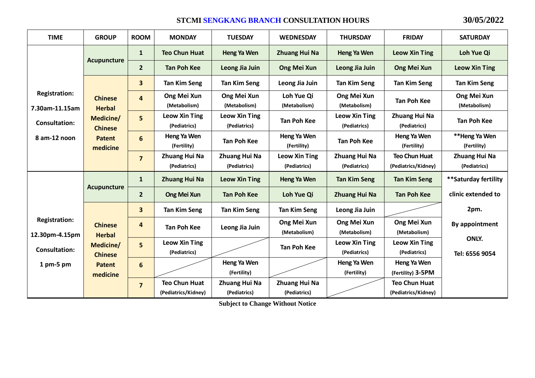#### **STCMI SENGKANG BRANCH CONSULTATION HOURS 30/05/2022**

| <b>TIME</b>                            | <b>GROUP</b>                                             | <b>ROOM</b>         | <b>MONDAY</b>                               | <b>TUESDAY</b>                       | <b>WEDNESDAY</b>                     | <b>THURSDAY</b>                      | <b>FRIDAY</b>                               | <b>SATURDAY</b>               |
|----------------------------------------|----------------------------------------------------------|---------------------|---------------------------------------------|--------------------------------------|--------------------------------------|--------------------------------------|---------------------------------------------|-------------------------------|
|                                        | Acupuncture                                              | $\mathbf{1}$        | <b>Teo Chun Huat</b>                        | Heng Ya Wen                          | <b>Zhuang Hui Na</b>                 | Heng Ya Wen                          | <b>Leow Xin Ting</b>                        | Loh Yue Qi                    |
|                                        |                                                          | $\overline{2}$      | <b>Tan Poh Kee</b>                          | Leong Jia Juin                       | Ong Mei Xun                          | Leong Jia Juin                       | Ong Mei Xun                                 | <b>Leow Xin Ting</b>          |
|                                        |                                                          | 3                   | <b>Tan Kim Seng</b>                         | <b>Tan Kim Seng</b>                  | Leong Jia Juin                       | <b>Tan Kim Seng</b>                  | <b>Tan Kim Seng</b>                         | <b>Tan Kim Seng</b>           |
| <b>Registration:</b><br>7.30am-11.15am | <b>Chinese</b><br><b>Herbal</b>                          | 4                   | Ong Mei Xun<br>(Metabolism)                 | Ong Mei Xun<br>(Metabolism)          | Loh Yue Qi<br>(Metabolism)           | Ong Mei Xun<br>(Metabolism)          | <b>Tan Poh Kee</b>                          | Ong Mei Xun<br>(Metabolism)   |
| <b>Consultation:</b>                   | Medicine/                                                | 5<br><b>Chinese</b> | <b>Leow Xin Ting</b><br>(Pediatrics)        | <b>Leow Xin Ting</b><br>(Pediatrics) | <b>Tan Poh Kee</b>                   | <b>Leow Xin Ting</b><br>(Pediatrics) | <b>Zhuang Hui Na</b><br>(Pediatrics)        | <b>Tan Poh Kee</b>            |
| 8 am-12 noon                           | <b>Patent</b><br>medicine                                | 6                   | Heng Ya Wen<br>(Fertility)                  | <b>Tan Poh Kee</b>                   | Heng Ya Wen<br>(Fertility)           | <b>Tan Poh Kee</b>                   | Heng Ya Wen<br>(Fertility)                  | **Heng Ya Wen<br>(Fertility)  |
|                                        |                                                          | $\overline{7}$      | Zhuang Hui Na<br>(Pediatrics)               | Zhuang Hui Na<br>(Pediatrics)        | <b>Leow Xin Ting</b><br>(Pediatrics) | Zhuang Hui Na<br>(Pediatrics)        | <b>Teo Chun Huat</b><br>(Pediatrics/Kidney) | Zhuang Hui Na<br>(Pediatrics) |
|                                        |                                                          | $\mathbf{1}$        | <b>Zhuang Hui Na</b>                        | <b>Leow Xin Ting</b>                 | Heng Ya Wen                          | <b>Tan Kim Seng</b>                  | <b>Tan Kim Seng</b>                         | **Saturday fertility          |
|                                        | Acupuncture                                              | $\overline{2}$      | <b>Ong Mei Xun</b>                          | <b>Tan Poh Kee</b>                   | Loh Yue Qi                           | <b>Zhuang Hui Na</b>                 | <b>Tan Poh Kee</b>                          | clinic extended to            |
|                                        |                                                          | 3                   | <b>Tan Kim Seng</b>                         | <b>Tan Kim Seng</b>                  | <b>Tan Kim Seng</b>                  | Leong Jia Juin                       |                                             | 2pm.                          |
| <b>Registration:</b><br>12.30pm-4.15pm | <b>Chinese</b><br><b>Herbal</b>                          | 4                   | <b>Tan Poh Kee</b>                          | Leong Jia Juin                       | Ong Mei Xun<br>(Metabolism)          | Ong Mei Xun<br>(Metabolism)          | Ong Mei Xun<br>(Metabolism)                 | By appointment                |
| <b>Consultation:</b>                   | Medicine/<br><b>Chinese</b><br><b>Patent</b><br>medicine | 5                   | <b>Leow Xin Ting</b><br>(Pediatrics)        |                                      | <b>Tan Poh Kee</b>                   | <b>Leow Xin Ting</b><br>(Pediatrics) | <b>Leow Xin Ting</b><br>(Pediatrics)        | ONLY.<br>Tel: 6556 9054       |
| $1$ pm-5 pm                            |                                                          | 6                   |                                             | Heng Ya Wen<br>(Fertility)           |                                      | Heng Ya Wen<br>(Fertility)           | Heng Ya Wen<br>(Fertility) 3-5PM            |                               |
|                                        |                                                          | $\overline{7}$      | <b>Teo Chun Huat</b><br>(Pediatrics/Kidney) | Zhuang Hui Na<br>(Pediatrics)        | Zhuang Hui Na<br>(Pediatrics)        |                                      | <b>Teo Chun Huat</b><br>(Pediatrics/Kidney) |                               |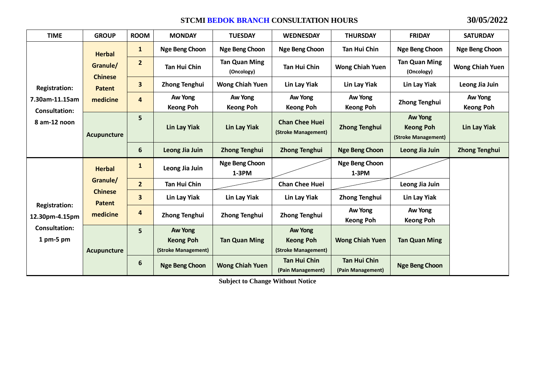#### **STCMI BEDOK BRANCH CONSULTATION HOURS 30/05/2022**

| <b>TIME</b>                                                                 | <b>GROUP</b>                                            | <b>ROOM</b>    | <b>MONDAY</b>                                      | <b>TUESDAY</b>                     | <b>WEDNESDAY</b>                                   | <b>THURSDAY</b>                          | <b>FRIDAY</b>                                      | <b>SATURDAY</b>             |
|-----------------------------------------------------------------------------|---------------------------------------------------------|----------------|----------------------------------------------------|------------------------------------|----------------------------------------------------|------------------------------------------|----------------------------------------------------|-----------------------------|
|                                                                             | <b>Herbal</b>                                           | $\mathbf{1}$   | Nge Beng Choon                                     | <b>Nge Beng Choon</b>              | <b>Nge Beng Choon</b>                              | <b>Tan Hui Chin</b>                      | <b>Nge Beng Choon</b>                              | Nge Beng Choon              |
|                                                                             | Granule/<br><b>Chinese</b>                              | $\overline{2}$ | <b>Tan Hui Chin</b>                                | <b>Tan Quan Ming</b><br>(Oncology) | <b>Tan Hui Chin</b>                                | <b>Wong Chiah Yuen</b>                   | <b>Tan Quan Ming</b><br>(Oncology)                 | <b>Wong Chiah Yuen</b>      |
| <b>Registration:</b>                                                        | <b>Patent</b>                                           | 3              | <b>Zhong Tenghui</b>                               | <b>Wong Chiah Yuen</b>             | Lin Lay Yiak                                       | Lin Lay Yiak                             | Lin Lay Yiak                                       | Leong Jia Juin              |
| 7.30am-11.15am<br><b>Consultation:</b><br>8 am-12 noon                      | medicine<br>Acupuncture                                 | 4              | Aw Yong<br><b>Keong Poh</b>                        | Aw Yong<br><b>Keong Poh</b>        | Aw Yong<br><b>Keong Poh</b>                        | Aw Yong<br><b>Keong Poh</b>              | <b>Zhong Tenghui</b>                               | Aw Yong<br><b>Keong Poh</b> |
|                                                                             |                                                         | 5              | <b>Lin Lay Yiak</b>                                | Lin Lay Yiak                       | <b>Chan Chee Huei</b><br>(Stroke Management)       | <b>Zhong Tenghui</b>                     | Aw Yong<br><b>Keong Poh</b><br>(Stroke Management) | <b>Lin Lay Yiak</b>         |
|                                                                             |                                                         | 6              | Leong Jia Juin                                     | <b>Zhong Tenghui</b>               | <b>Zhong Tenghui</b>                               | <b>Nge Beng Choon</b>                    | Leong Jia Juin                                     | <b>Zhong Tenghui</b>        |
|                                                                             | <b>Herbal</b>                                           | 1              | Leong Jia Juin                                     | <b>Nge Beng Choon</b><br>$1-3PM$   |                                                    | Nge Beng Choon<br>$1-3PM$                |                                                    |                             |
|                                                                             | Granule/<br><b>Chinese</b><br><b>Patent</b><br>medicine | $\overline{2}$ | <b>Tan Hui Chin</b>                                |                                    | <b>Chan Chee Huei</b>                              |                                          | Leong Jia Juin                                     |                             |
| <b>Registration:</b><br>12.30pm-4.15pm<br><b>Consultation:</b><br>1 pm-5 pm |                                                         | 3              | Lin Lay Yiak                                       | Lin Lay Yiak                       | Lin Lay Yiak                                       | <b>Zhong Tenghui</b>                     | Lin Lay Yiak                                       |                             |
|                                                                             |                                                         | 4              | <b>Zhong Tenghui</b>                               | <b>Zhong Tenghui</b>               | <b>Zhong Tenghui</b>                               | Aw Yong<br><b>Keong Poh</b>              | Aw Yong<br><b>Keong Poh</b>                        |                             |
|                                                                             | Acupuncture                                             | 5              | Aw Yong<br><b>Keong Poh</b><br>(Stroke Management) | <b>Tan Quan Ming</b>               | Aw Yong<br><b>Keong Poh</b><br>(Stroke Management) | <b>Wong Chiah Yuen</b>                   | <b>Tan Quan Ming</b>                               |                             |
|                                                                             |                                                         | 6              | <b>Nge Beng Choon</b>                              | <b>Wong Chiah Yuen</b>             | <b>Tan Hui Chin</b><br>(Pain Management)           | <b>Tan Hui Chin</b><br>(Pain Management) | <b>Nge Beng Choon</b>                              |                             |